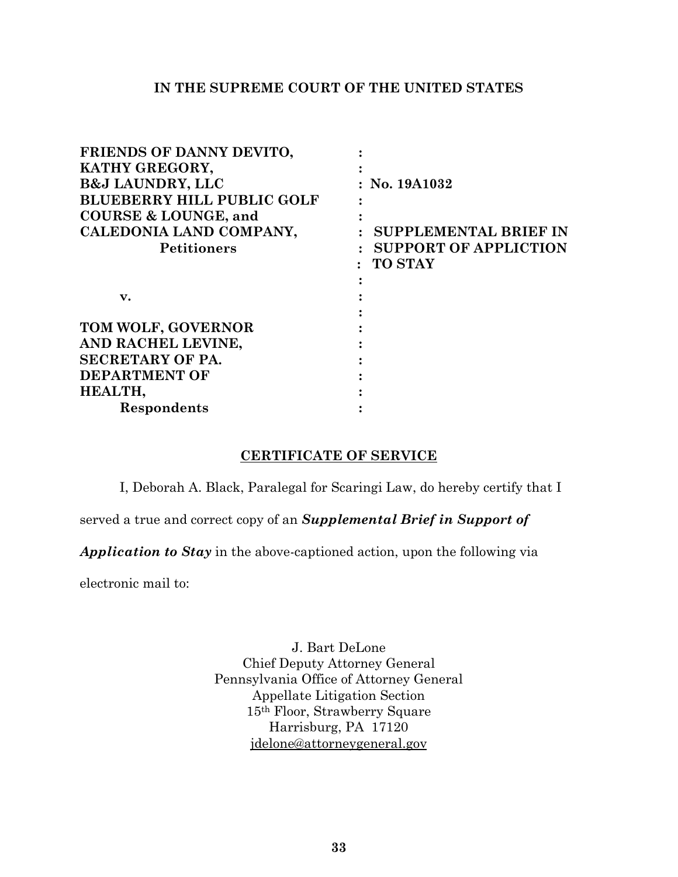## **IN THE SUPREME COURT OF THE UNITED STATES**

| FRIENDS OF DANNY DEVITO,          |                                           |
|-----------------------------------|-------------------------------------------|
| KATHY GREGORY,                    |                                           |
| <b>B&amp;J LAUNDRY, LLC</b>       | $:$ No. 19A1032                           |
| <b>BLUEBERRY HILL PUBLIC GOLF</b> |                                           |
| <b>COURSE &amp; LOUNGE, and</b>   |                                           |
| CALEDONIA LAND COMPANY,           | <b>SUPPLEMENTAL BRIEF IN</b>              |
| <b>Petitioners</b>                | <b>SUPPORT OF APPLICTION</b><br>$\bullet$ |
|                                   | <b>TO STAY</b>                            |
|                                   |                                           |
| $\mathbf{v}$ .                    |                                           |
|                                   |                                           |
| TOM WOLF, GOVERNOR                |                                           |
| AND RACHEL LEVINE,                |                                           |
| <b>SECRETARY OF PA.</b>           |                                           |
| <b>DEPARTMENT OF</b>              |                                           |
| HEALTH,                           |                                           |
| Respondents                       |                                           |

## **CERTIFICATE OF SERVICE**

I, Deborah A. Black, Paralegal for Scaringi Law, do hereby certify that I

served a true and correct copy of an *Supplemental Brief in Support of* 

*Application to Stay* in the above-captioned action, upon the following via

electronic mail to:

J. Bart DeLone Chief Deputy Attorney General Pennsylvania Office of Attorney General Appellate Litigation Section 15th Floor, Strawberry Square Harrisburg, PA 17120 [jdelone@attorneygeneral.gov](mailto:jdelone@attorneygeneral.gov)